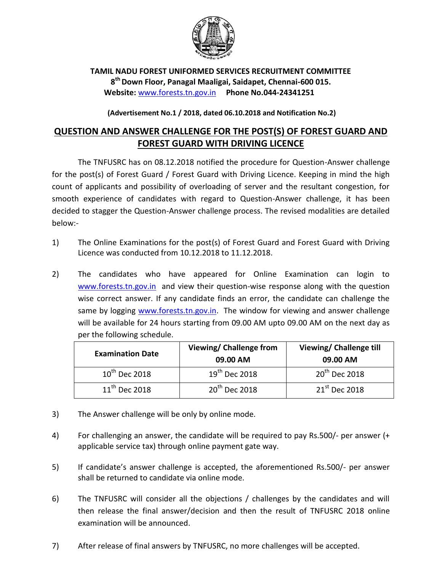

**TAMIL NADU FOREST UNIFORMED SERVICES RECRUITMENT COMMITTEE 8 th Down Floor, Panagal Maaligai, Saidapet, Chennai-600 015. Website:** [www.forests.tn.gov.in](http://www.forests.tn.gov.in/) **Phone No.044-24341251**

## **(Advertisement No.1 / 2018, dated 06.10.2018 and Notification No.2)**

## **QUESTION AND ANSWER CHALLENGE FOR THE POST(S) OF FOREST GUARD AND FOREST GUARD WITH DRIVING LICENCE**

The TNFUSRC has on 08.12.2018 notified the procedure for Question-Answer challenge for the post(s) of Forest Guard / Forest Guard with Driving Licence. Keeping in mind the high count of applicants and possibility of overloading of server and the resultant congestion, for smooth experience of candidates with regard to Question-Answer challenge, it has been decided to stagger the Question-Answer challenge process. The revised modalities are detailed below:-

- 1) The Online Examinations for the post(s) of Forest Guard and Forest Guard with Driving Licence was conducted from 10.12.2018 to 11.12.2018.
- 2) The candidates who have appeared for Online Examination can login to [www.forests.tn.gov.in](file:///C:/Users/GIS/Desktop/RECRUITMENT/Answer%20Challenge%2008-12-18/www.forests.tn.gov.in) and view their question-wise response along with the question wise correct answer. If any candidate finds an error, the candidate can challenge the same by logging [www.forests.tn.gov.in.](file:///C:/Users/GIS/Desktop/RECRUITMENT/Answer%20Challenge%2008-12-18/www.forests.tn.gov.in) The window for viewing and answer challenge will be available for 24 hours starting from 09.00 AM upto 09.00 AM on the next day as per the following schedule.

| <b>Examination Date</b>   | <b>Viewing/ Challenge from</b><br>09.00 AM | <b>Viewing/ Challenge till</b><br>09.00 AM |
|---------------------------|--------------------------------------------|--------------------------------------------|
| $10^{\text{th}}$ Dec 2018 | $19th$ Dec 2018                            | $20th$ Dec 2018                            |
| $11^{\text{th}}$ Dec 2018 | $20th$ Dec 2018                            | $21^{\text{st}}$ Dec 2018                  |

- 3) The Answer challenge will be only by online mode.
- 4) For challenging an answer, the candidate will be required to pay Rs.500/- per answer (+ applicable service tax) through online payment gate way.
- 5) If candidate's answer challenge is accepted, the aforementioned Rs.500/- per answer shall be returned to candidate via online mode.
- 6) The TNFUSRC will consider all the objections / challenges by the candidates and will then release the final answer/decision and then the result of TNFUSRC 2018 online examination will be announced.
- 7) After release of final answers by TNFUSRC, no more challenges will be accepted.